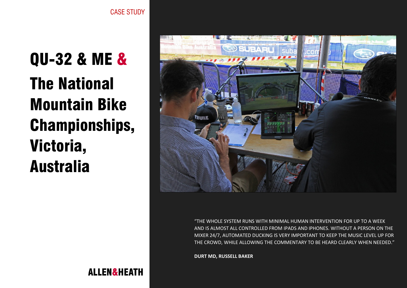**ALLEN&HEATH** 

QU-32 & ME & The National Mountain Bike Championships, Victoria, Australia



"THE WHOLE SYSTEM RUNS WITH MINIMAL HUMAN INTERVENTION FOR UP TO A WEEK AND IS ALMOST ALL CONTROLLED FROM IPADS AND IPHONES. WITHOUT A PERSON ON THE MIXER 24/7, AUTOMATED DUCKING IS VERY IMPORTANT TO KEEP THE MUSIC LEVEL UP FOR THE CROWD, WHILE ALLOWING THE COMMENTARY TO BE HEARD CLEARLY WHEN NEEDED."

**DURT MD, RUSSELL BAKER**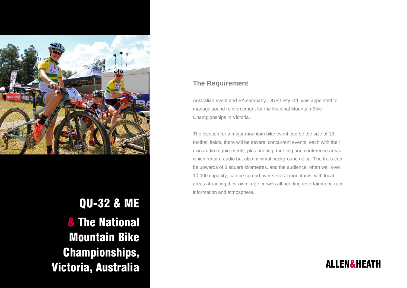

QU-32 & ME & The National Mountain Bike Championships, Victoria, Australia

## **The Requirement**

Australian event and PA company, DURT Pty Ltd, was appointed to manage sound reinforcement for the National Mountain Bike Championships in Victoria.

The location for a major mountain bike event can be the size of 10 football fields, there will be several concurrent events, each with their own audio requirements, plus briefing, meeting and conference areas which require audio but also minimal background noise. The trails can be upwards of 8 square kilometres, and the audience, often well over 10,000 capacity, can be spread over several mountains, with local areas attracting their own large crowds all needing entertainment, race information and atmosphere.

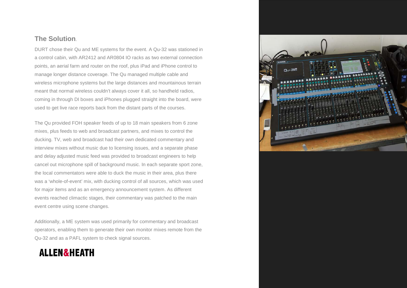## **The Solution**.

DURT chose their Qu and ME systems for the event. A Qu-32 was stationed in a control cabin, with AR2412 and AR0804 IO racks as two external connection points, an aerial farm and router on the roof, plus iPad and iPhone control to manage longer distance coverage. The Qu managed multiple cable and wireless microphone systems but the large distances and mountainous terrain meant that normal wireless couldn't always cover it all, so handheld radios, coming in through DI boxes and iPhones plugged straight into the board, were used to get live race reports back from the distant parts of the courses.

The Qu provided FOH speaker feeds of up to 18 main speakers from 6 zone mixes, plus feeds to web and broadcast partners, and mixes to control the ducking. TV, web and broadcast had their own dedicated commentary and interview mixes without music due to licensing issues, and a separate phase and delay adjusted music feed was provided to broadcast engineers to help cancel out microphone spill of background music. In each separate sport zone, the local commentators were able to duck the music in their area, plus there was a 'whole-of-event' mix, with ducking control of all sources, which was used for major items and as an emergency announcement system. As different events reached climactic stages, their commentary was patched to the main event centre using scene changes.

Additionally, a ME system was used primarily for commentary and broadcast operators, enabling them to generate their own monitor mixes remote from the Qu-32 and as a PAFL system to check signal sources.